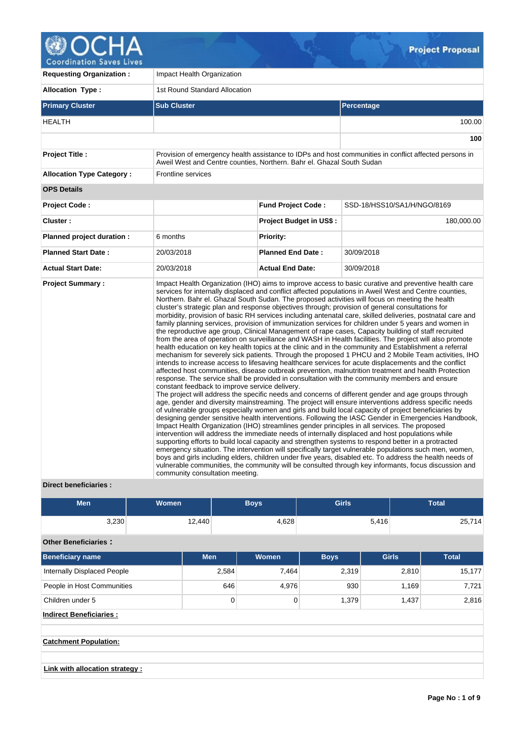

| <b>Requesting Organization:</b>  | Impact Health Organization                                                        |                                |                                                                                                                                                                                                                                                                                                                                                                                                                                                                                                                                                                                                                                                                                                                                                                                                                                                                                                                                                                                                                                                                                                                                                                                                                                                                                                                                                                                                                                                                                                                                                                                                                                                                                                                                                                                                                                                                                                                                                                                                                                                                                                                                                                                                                                                                                                                                                                                                                                                                         |  |  |  |  |
|----------------------------------|-----------------------------------------------------------------------------------|--------------------------------|-------------------------------------------------------------------------------------------------------------------------------------------------------------------------------------------------------------------------------------------------------------------------------------------------------------------------------------------------------------------------------------------------------------------------------------------------------------------------------------------------------------------------------------------------------------------------------------------------------------------------------------------------------------------------------------------------------------------------------------------------------------------------------------------------------------------------------------------------------------------------------------------------------------------------------------------------------------------------------------------------------------------------------------------------------------------------------------------------------------------------------------------------------------------------------------------------------------------------------------------------------------------------------------------------------------------------------------------------------------------------------------------------------------------------------------------------------------------------------------------------------------------------------------------------------------------------------------------------------------------------------------------------------------------------------------------------------------------------------------------------------------------------------------------------------------------------------------------------------------------------------------------------------------------------------------------------------------------------------------------------------------------------------------------------------------------------------------------------------------------------------------------------------------------------------------------------------------------------------------------------------------------------------------------------------------------------------------------------------------------------------------------------------------------------------------------------------------------------|--|--|--|--|
| <b>Allocation Type:</b>          | 1st Round Standard Allocation                                                     |                                |                                                                                                                                                                                                                                                                                                                                                                                                                                                                                                                                                                                                                                                                                                                                                                                                                                                                                                                                                                                                                                                                                                                                                                                                                                                                                                                                                                                                                                                                                                                                                                                                                                                                                                                                                                                                                                                                                                                                                                                                                                                                                                                                                                                                                                                                                                                                                                                                                                                                         |  |  |  |  |
| <b>Primary Cluster</b>           | <b>Sub Cluster</b>                                                                |                                | Percentage                                                                                                                                                                                                                                                                                                                                                                                                                                                                                                                                                                                                                                                                                                                                                                                                                                                                                                                                                                                                                                                                                                                                                                                                                                                                                                                                                                                                                                                                                                                                                                                                                                                                                                                                                                                                                                                                                                                                                                                                                                                                                                                                                                                                                                                                                                                                                                                                                                                              |  |  |  |  |
| <b>HEALTH</b>                    |                                                                                   |                                | 100.00                                                                                                                                                                                                                                                                                                                                                                                                                                                                                                                                                                                                                                                                                                                                                                                                                                                                                                                                                                                                                                                                                                                                                                                                                                                                                                                                                                                                                                                                                                                                                                                                                                                                                                                                                                                                                                                                                                                                                                                                                                                                                                                                                                                                                                                                                                                                                                                                                                                                  |  |  |  |  |
|                                  |                                                                                   |                                | 100                                                                                                                                                                                                                                                                                                                                                                                                                                                                                                                                                                                                                                                                                                                                                                                                                                                                                                                                                                                                                                                                                                                                                                                                                                                                                                                                                                                                                                                                                                                                                                                                                                                                                                                                                                                                                                                                                                                                                                                                                                                                                                                                                                                                                                                                                                                                                                                                                                                                     |  |  |  |  |
| <b>Project Title:</b>            | Aweil West and Centre counties, Northern. Bahr el. Ghazal South Sudan             |                                | Provision of emergency health assistance to IDPs and host communities in conflict affected persons in                                                                                                                                                                                                                                                                                                                                                                                                                                                                                                                                                                                                                                                                                                                                                                                                                                                                                                                                                                                                                                                                                                                                                                                                                                                                                                                                                                                                                                                                                                                                                                                                                                                                                                                                                                                                                                                                                                                                                                                                                                                                                                                                                                                                                                                                                                                                                                   |  |  |  |  |
| <b>Allocation Type Category:</b> | Frontline services                                                                |                                |                                                                                                                                                                                                                                                                                                                                                                                                                                                                                                                                                                                                                                                                                                                                                                                                                                                                                                                                                                                                                                                                                                                                                                                                                                                                                                                                                                                                                                                                                                                                                                                                                                                                                                                                                                                                                                                                                                                                                                                                                                                                                                                                                                                                                                                                                                                                                                                                                                                                         |  |  |  |  |
| <b>OPS Details</b>               |                                                                                   |                                |                                                                                                                                                                                                                                                                                                                                                                                                                                                                                                                                                                                                                                                                                                                                                                                                                                                                                                                                                                                                                                                                                                                                                                                                                                                                                                                                                                                                                                                                                                                                                                                                                                                                                                                                                                                                                                                                                                                                                                                                                                                                                                                                                                                                                                                                                                                                                                                                                                                                         |  |  |  |  |
| <b>Project Code:</b>             |                                                                                   | <b>Fund Project Code:</b>      | SSD-18/HSS10/SA1/H/NGO/8169                                                                                                                                                                                                                                                                                                                                                                                                                                                                                                                                                                                                                                                                                                                                                                                                                                                                                                                                                                                                                                                                                                                                                                                                                                                                                                                                                                                                                                                                                                                                                                                                                                                                                                                                                                                                                                                                                                                                                                                                                                                                                                                                                                                                                                                                                                                                                                                                                                             |  |  |  |  |
| Cluster:                         |                                                                                   | <b>Project Budget in US\$:</b> | 180,000.00                                                                                                                                                                                                                                                                                                                                                                                                                                                                                                                                                                                                                                                                                                                                                                                                                                                                                                                                                                                                                                                                                                                                                                                                                                                                                                                                                                                                                                                                                                                                                                                                                                                                                                                                                                                                                                                                                                                                                                                                                                                                                                                                                                                                                                                                                                                                                                                                                                                              |  |  |  |  |
| Planned project duration :       | 6 months                                                                          | <b>Priority:</b>               |                                                                                                                                                                                                                                                                                                                                                                                                                                                                                                                                                                                                                                                                                                                                                                                                                                                                                                                                                                                                                                                                                                                                                                                                                                                                                                                                                                                                                                                                                                                                                                                                                                                                                                                                                                                                                                                                                                                                                                                                                                                                                                                                                                                                                                                                                                                                                                                                                                                                         |  |  |  |  |
| <b>Planned Start Date:</b>       | 20/03/2018                                                                        | <b>Planned End Date:</b>       | 30/09/2018                                                                                                                                                                                                                                                                                                                                                                                                                                                                                                                                                                                                                                                                                                                                                                                                                                                                                                                                                                                                                                                                                                                                                                                                                                                                                                                                                                                                                                                                                                                                                                                                                                                                                                                                                                                                                                                                                                                                                                                                                                                                                                                                                                                                                                                                                                                                                                                                                                                              |  |  |  |  |
| <b>Actual Start Date:</b>        | 20/03/2018                                                                        | <b>Actual End Date:</b>        | 30/09/2018                                                                                                                                                                                                                                                                                                                                                                                                                                                                                                                                                                                                                                                                                                                                                                                                                                                                                                                                                                                                                                                                                                                                                                                                                                                                                                                                                                                                                                                                                                                                                                                                                                                                                                                                                                                                                                                                                                                                                                                                                                                                                                                                                                                                                                                                                                                                                                                                                                                              |  |  |  |  |
| <b>Project Summary:</b>          | constant feedback to improve service delivery.<br>community consultation meeting. |                                | Impact Health Organization (IHO) aims to improve access to basic curative and preventive health care<br>services for internally displaced and conflict affected populations in Aweil West and Centre counties,<br>Northern. Bahr el. Ghazal South Sudan. The proposed activities will focus on meeting the health<br>cluster's strategic plan and response objectives through; provision of general consultations for<br>morbidity, provision of basic RH services including antenatal care, skilled deliveries, postnatal care and<br>family planning services, provision of immunization services for children under 5 years and women in<br>the reproductive age group, Clinical Management of rape cases, Capacity building of staff recruited<br>from the area of operation on surveillance and WASH in Health facilities. The project will also promote<br>health education on key health topics at the clinic and in the community and Establishment a referral<br>mechanism for severely sick patients. Through the proposed 1 PHCU and 2 Mobile Team activities, IHO<br>intends to increase access to lifesaving healthcare services for acute displacements and the conflict<br>affected host communities, disease outbreak prevention, malnutrition treatment and health Protection<br>response. The service shall be provided in consultation with the community members and ensure<br>The project will address the specific needs and concerns of different gender and age groups through<br>age, gender and diversity mainstreaming. The project will ensure interventions address specific needs<br>of vulnerable groups especially women and girls and build local capacity of project beneficiaries by<br>designing gender sensitive health interventions. Following the IASC Gender in Emergencies Handbook,<br>Impact Health Organization (IHO) streamlines gender principles in all services. The proposed<br>intervention will address the immediate needs of internally displaced and host populations while<br>supporting efforts to build local capacity and strengthen systems to respond better in a protracted<br>emergency situation. The intervention will specifically target vulnerable populations such men, women,<br>boys and girls including elders, children under five years, disabled etc. To address the health needs of<br>vulnerable communities, the community will be consulted through key informants, focus discussion and |  |  |  |  |

# **Direct beneficiaries :**

| <b>Men</b>                            | <b>Women</b> | <b>Boys</b> |             | <b>Girls</b>   |              |       | <b>Total</b> |
|---------------------------------------|--------------|-------------|-------------|----------------|--------------|-------|--------------|
| 3,230                                 | 12,440       |             | 4,628       |                | 5,416        |       | 25,714       |
| <b>Other Beneficiaries:</b>           |              |             |             |                |              |       |              |
| <b>Beneficiary name</b>               | <b>Men</b>   |             | Women       | <b>Boys</b>    | <b>Girls</b> |       | <b>Total</b> |
| Internally Displaced People           |              | 2,584       |             | 2,319<br>7,464 |              | 2,810 | 15,177       |
| People in Host Communities            |              | 646         | 4,976       | 930            |              | 1,169 | 7,721        |
| Children under 5                      |              | $\mathbf 0$ | $\mathbf 0$ | 1,379          |              | 1,437 | 2,816        |
| <b>Indirect Beneficiaries:</b>        |              |             |             |                |              |       |              |
|                                       |              |             |             |                |              |       |              |
| <b>Catchment Population:</b>          |              |             |             |                |              |       |              |
|                                       |              |             |             |                |              |       |              |
| <b>Link with allocation strategy:</b> |              |             |             |                |              |       |              |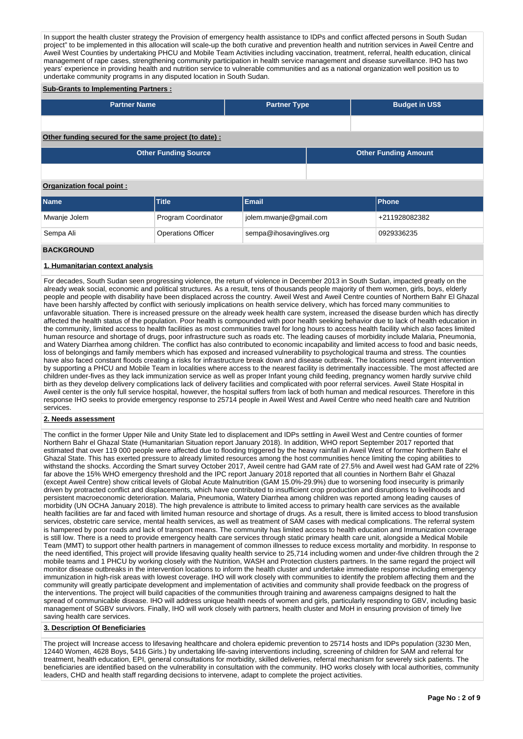In support the health cluster strategy the Provision of emergency health assistance to IDPs and conflict affected persons in South Sudan project" to be implemented in this allocation will scale-up the both curative and prevention health and nutrition services in Aweil Centre and Aweil West Counties by undertaking PHCU and Mobile Team Activities including vaccination, treatment, referral, health education, clinical management of rape cases, strengthening community participation in health service management and disease surveillance. IHO has two years' experience in providing health and nutrition service to vulnerable communities and as a national organization well position us to undertake community programs in any disputed location in South Sudan.

#### **Sub-Grants to Implementing Partners :**

| <b>Partner Name</b>                                   | <b>Partner Type</b> | <b>Budget in US\$</b>       |
|-------------------------------------------------------|---------------------|-----------------------------|
|                                                       |                     |                             |
| Other funding secured for the same project (to date): |                     |                             |
| <b>Other Funding Source</b>                           |                     | <b>Other Funding Amount</b> |

## **Organization focal point :**

| <b>Name</b>  | <b>Title</b>              | Email                    | <b>Phone</b>  |
|--------------|---------------------------|--------------------------|---------------|
| Mwanje Jolem | Program Coordinator       | jolem.mwanje@gmail.com   | +211928082382 |
| Sempa Ali    | <b>Operations Officer</b> | sempa@ihosavinglives.org | 0929336235    |

## **BACKGROUND**

#### **1. Humanitarian context analysis**

For decades, South Sudan seen progressing violence, the return of violence in December 2013 in South Sudan, impacted greatly on the already weak social, economic and political structures. As a result, tens of thousands people majority of them women, girls, boys, elderly people and people with disability have been displaced across the country. Aweil West and Aweil Centre counties of Northern Bahr El Ghazal have been harshly affected by conflict with seriously implications on health service delivery, which has forced many communities to unfavorable situation. There is increased pressure on the already week health care system, increased the disease burden which has directly affected the health status of the population. Poor health is compounded with poor health seeking behavior due to lack of health education in the community, limited access to health facilities as most communities travel for long hours to access health facility which also faces limited human resource and shortage of drugs, poor infrastructure such as roads etc. The leading causes of morbidity include Malaria, Pneumonia, and Watery Diarrhea among children. The conflict has also contributed to economic incapability and limited access to food and basic needs, loss of belongings and family members which has exposed and increased vulnerability to psychological trauma and stress. The counties have also faced constant floods creating a risks for infrastructure break down and disease outbreak. The locations need urgent intervention by supporting a PHCU and Mobile Team in localities where access to the nearest facility is detrimentally inaccessible. The most affected are children under-fives as they lack immunization service as well as proper Infant young child feeding, pregnancy women hardly survive child birth as they develop delivery complications lack of delivery facilities and complicated with poor referral services. Aweil State Hospital in Aweil center is the only full service hospital, however, the hospital suffers from lack of both human and medical resources. Therefore in this response IHO seeks to provide emergency response to 25714 people in Aweil West and Aweil Centre who need health care and Nutrition services.

## **2. Needs assessment**

The conflict in the former Upper Nile and Unity State led to displacement and IDPs settling in Aweil West and Centre counties of former Northern Bahr el Ghazal State (Humanitarian Situation report January 2018). In addition, WHO report September 2017 reported that estimated that over 119 000 people were affected due to flooding triggered by the heavy rainfall in Aweil West of former Northern Bahr el Ghazal State. This has exerted pressure to already limited resources among the host communities hence limiting the coping abilities to withstand the shocks. According the Smart survey October 2017, Aweil centre had GAM rate of 27.5% and Aweil west had GAM rate of 22% far above the 15% WHO emergency threshold and the IPC report January 2018 reported that all counties in Northern Bahr el Ghazal (except Aweil Centre) show critical levels of Global Acute Malnutrition (GAM 15.0%-29.9%) due to worsening food insecurity is primarily driven by protracted conflict and displacements, which have contributed to insufficient crop production and disruptions to livelihoods and persistent macroeconomic deterioration. Malaria, Pneumonia, Watery Diarrhea among children was reported among leading causes of morbidity (UN OCHA January 2018). The high prevalence is attribute to limited access to primary health care services as the available health facilities are far and faced with limited human resource and shortage of drugs. As a result, there is limited access to blood transfusion services, obstetric care service, mental health services, as well as treatment of SAM cases with medical complications. The referral system is hampered by poor roads and lack of transport means. The community has limited access to health education and Immunization coverage is still low. There is a need to provide emergency health care services through static primary health care unit, alongside a Medical Mobile Team (MMT) to support other health partners in management of common illnesses to reduce excess mortality and morbidity. In response to the need identified, This project will provide lifesaving quality health service to 25,714 including women and under-five children through the 2 mobile teams and 1 PHCU by working closely with the Nutrition, WASH and Protection clusters partners. In the same regard the project will monitor disease outbreaks in the intervention locations to inform the health cluster and undertake immediate response including emergency immunization in high-risk areas with lowest coverage. IHO will work closely with communities to identify the problem affecting them and the community will greatly participate development and implementation of activities and community shall provide feedback on the progress of the interventions. The project will build capacities of the communities through training and awareness campaigns designed to halt the spread of communicable disease. IHO will address unique health needs of women and girls, particularly responding to GBV, including basic management of SGBV survivors. Finally, IHO will work closely with partners, health cluster and MoH in ensuring provision of timely live saving health care services.

# **3. Description Of Beneficiaries**

The project will Increase access to lifesaving healthcare and cholera epidemic prevention to 25714 hosts and IDPs population (3230 Men, 12440 Women, 4628 Boys, 5416 Girls.) by undertaking life-saving interventions including, screening of children for SAM and referral for treatment, health education, EPI, general consultations for morbidity, skilled deliveries, referral mechanism for severely sick patients. The beneficiaries are identified based on the vulnerability in consultation with the community. IHO works closely with local authorities, community leaders, CHD and health staff regarding decisions to intervene, adapt to complete the project activities.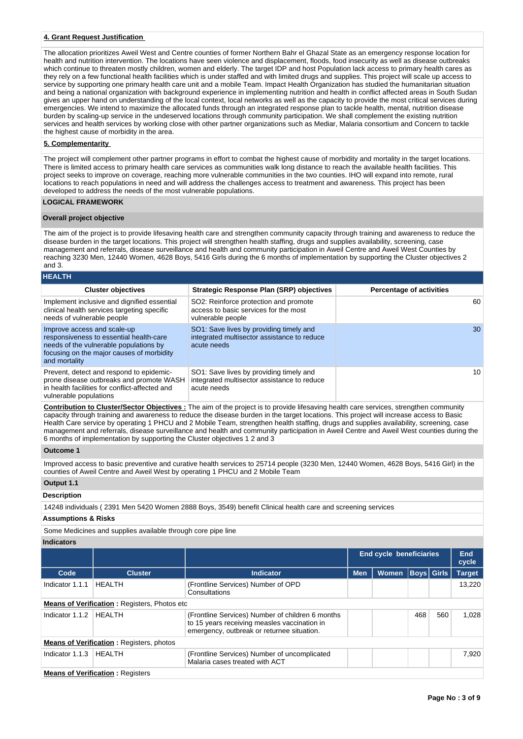# **4. Grant Request Justification**

The allocation prioritizes Aweil West and Centre counties of former Northern Bahr el Ghazal State as an emergency response location for health and nutrition intervention. The locations have seen violence and displacement, floods, food insecurity as well as disease outbreaks which continue to threaten mostly children, women and elderly. The target IDP and host Population lack access to primary health cares as they rely on a few functional health facilities which is under staffed and with limited drugs and supplies. This project will scale up access to service by supporting one primary health care unit and a mobile Team. Impact Health Organization has studied the humanitarian situation and being a national organization with background experience in implementing nutrition and health in conflict affected areas in South Sudan gives an upper hand on understanding of the local context, local networks as well as the capacity to provide the most critical services during emergencies. We intend to maximize the allocated funds through an integrated response plan to tackle health, mental, nutrition disease burden by scaling-up service in the undeserved locations through community participation. We shall complement the existing nutrition services and health services by working close with other partner organizations such as Mediar, Malaria consortium and Concern to tackle the highest cause of morbidity in the area.

## **5. Complementarity**

The project will complement other partner programs in effort to combat the highest cause of morbidity and mortality in the target locations. There is limited access to primary health care services as communities walk long distance to reach the available health facilities. This project seeks to improve on coverage, reaching more vulnerable communities in the two counties. IHO will expand into remote, rural locations to reach populations in need and will address the challenges access to treatment and awareness. This project has been developed to address the needs of the most vulnerable populations.

# **LOGICAL FRAMEWORK**

#### **Overall project objective**

The aim of the project is to provide lifesaving health care and strengthen community capacity through training and awareness to reduce the disease burden in the target locations. This project will strengthen health staffing, drugs and supplies availability, screening, case management and referrals, disease surveillance and health and community participation in Aweil Centre and Aweil West Counties by reaching 3230 Men, 12440 Women, 4628 Boys, 5416 Girls during the 6 months of implementation by supporting the Cluster objectives 2 and 3.

| <b>HEALTH</b>                                                                                                                                                                  |                                                                                                       |                                 |
|--------------------------------------------------------------------------------------------------------------------------------------------------------------------------------|-------------------------------------------------------------------------------------------------------|---------------------------------|
| <b>Cluster objectives</b>                                                                                                                                                      | <b>Strategic Response Plan (SRP) objectives</b>                                                       | <b>Percentage of activities</b> |
| Implement inclusive and dignified essential<br>clinical health services targeting specific<br>needs of vulnerable people                                                       | SO2: Reinforce protection and promote<br>access to basic services for the most<br>vulnerable people   | 60                              |
| Improve access and scale-up<br>responsiveness to essential health-care<br>needs of the vulnerable populations by<br>focusing on the major causes of morbidity<br>and mortality | SO1: Save lives by providing timely and<br>integrated multisector assistance to reduce<br>acute needs | 30                              |
| Prevent, detect and respond to epidemic-<br>prone disease outbreaks and promote WASH<br>in health facilities for conflict-affected and<br>vulnerable populations               | SO1: Save lives by providing timely and<br>integrated multisector assistance to reduce<br>acute needs | 10                              |

**Contribution to Cluster/Sector Objectives :** The aim of the project is to provide lifesaving health care services, strengthen community capacity through training and awareness to reduce the disease burden in the target locations. This project will increase access to Basic Health Care service by operating 1 PHCU and 2 Mobile Team, strengthen health staffing, drugs and supplies availability, screening, case management and referrals, disease surveillance and health and community participation in Aweil Centre and Aweil West counties during the 6 months of implementation by supporting the Cluster objectives 1 2 and 3

#### **Outcome 1**

Improved access to basic preventive and curative health services to 25714 people (3230 Men, 12440 Women, 4628 Boys, 5416 Girl) in the counties of Aweil Centre and Aweil West by operating 1 PHCU and 2 Mobile Team

## **Output 1.1**

# **Description**

14248 individuals ( 2391 Men 5420 Women 2888 Boys, 3549) benefit Clinical health care and screening services

#### **Assumptions & Risks**

Some Medicines and supplies available through core pipe line

#### **Indicators**

|                                         |                                                      |                                                                                                                                                | End cycle beneficiaries |              |                   |     | <b>End</b><br>cycle |  |  |  |
|-----------------------------------------|------------------------------------------------------|------------------------------------------------------------------------------------------------------------------------------------------------|-------------------------|--------------|-------------------|-----|---------------------|--|--|--|
| Code                                    | <b>Cluster</b>                                       | <b>Indicator</b>                                                                                                                               | <b>Men</b>              | <b>Women</b> | <b>Boys</b> Girls |     | <b>Target</b>       |  |  |  |
| Indicator 1.1.1                         | HEALTH                                               | (Frontline Services) Number of OPD<br>Consultations                                                                                            |                         |              |                   |     | 13.220              |  |  |  |
|                                         | <b>Means of Verification: Registers, Photos etc.</b> |                                                                                                                                                |                         |              |                   |     |                     |  |  |  |
| Indicator 1.1.2                         | HEALTH                                               | (Frontline Services) Number of children 6 months<br>to 15 years receiving measles vaccination in<br>emergency, outbreak or returnee situation. |                         |              | 468               | 560 | 1.028               |  |  |  |
|                                         | <b>Means of Verification: Registers, photos</b>      |                                                                                                                                                |                         |              |                   |     |                     |  |  |  |
| Indicator 1.1.3                         | <b>HFAITH</b>                                        | (Frontline Services) Number of uncomplicated<br>Malaria cases treated with ACT                                                                 |                         |              |                   |     | 7.920               |  |  |  |
| <b>Means of Verification: Registers</b> |                                                      |                                                                                                                                                |                         |              |                   |     |                     |  |  |  |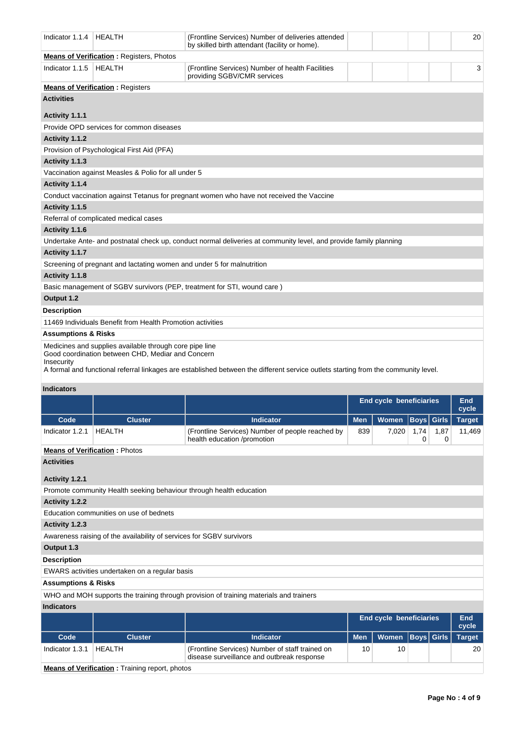| Indicator 1.1.4                | <b>HEALTH</b>                                                                                                | (Frontline Services) Number of deliveries attended<br>by skilled birth attendant (facility or home).              | 20 |
|--------------------------------|--------------------------------------------------------------------------------------------------------------|-------------------------------------------------------------------------------------------------------------------|----|
|                                | <b>Means of Verification: Registers, Photos</b>                                                              |                                                                                                                   |    |
| Indicator 1.1.5                | <b>HEALTH</b>                                                                                                | (Frontline Services) Number of health Facilities<br>providing SGBV/CMR services                                   | 3  |
|                                | <b>Means of Verification: Registers</b>                                                                      |                                                                                                                   |    |
| <b>Activities</b>              |                                                                                                              |                                                                                                                   |    |
| Activity 1.1.1                 |                                                                                                              |                                                                                                                   |    |
|                                | Provide OPD services for common diseases                                                                     |                                                                                                                   |    |
| Activity 1.1.2                 |                                                                                                              |                                                                                                                   |    |
|                                | Provision of Psychological First Aid (PFA)                                                                   |                                                                                                                   |    |
| Activity 1.1.3                 |                                                                                                              |                                                                                                                   |    |
|                                | Vaccination against Measles & Polio for all under 5                                                          |                                                                                                                   |    |
| Activity 1.1.4                 |                                                                                                              |                                                                                                                   |    |
|                                |                                                                                                              | Conduct vaccination against Tetanus for pregnant women who have not received the Vaccine                          |    |
| Activity 1.1.5                 |                                                                                                              |                                                                                                                   |    |
|                                | Referral of complicated medical cases                                                                        |                                                                                                                   |    |
| Activity 1.1.6                 |                                                                                                              |                                                                                                                   |    |
|                                |                                                                                                              | Undertake Ante- and postnatal check up, conduct normal deliveries at community level, and provide family planning |    |
| Activity 1.1.7                 |                                                                                                              |                                                                                                                   |    |
|                                | Screening of pregnant and lactating women and under 5 for malnutrition                                       |                                                                                                                   |    |
| Activity 1.1.8                 |                                                                                                              |                                                                                                                   |    |
|                                |                                                                                                              | Basic management of SGBV survivors (PEP, treatment for STI, wound care)                                           |    |
| Output 1.2                     |                                                                                                              |                                                                                                                   |    |
| <b>Description</b>             |                                                                                                              |                                                                                                                   |    |
|                                | 11469 Individuals Benefit from Health Promotion activities                                                   |                                                                                                                   |    |
| <b>Assumptions &amp; Risks</b> |                                                                                                              |                                                                                                                   |    |
|                                | Medicines and supplies available through core pipe line<br>Good coordination between CHD, Mediar and Concern |                                                                                                                   |    |

Insecurity

A formal and functional referral linkages are established between the different service outlets starting from the community level.

# **Indicators**

|                                                       |                                                                      |                                                                                               | <b>End cycle beneficiaries</b> | End<br>cycle |                                  |                   |               |  |
|-------------------------------------------------------|----------------------------------------------------------------------|-----------------------------------------------------------------------------------------------|--------------------------------|--------------|----------------------------------|-------------------|---------------|--|
| Code                                                  | <b>Cluster</b>                                                       | <b>Indicator</b>                                                                              | <b>Men</b>                     | Women        | <b>Boys</b> Girls                |                   | <b>Target</b> |  |
| Indicator 1.2.1                                       | <b>HEALTH</b>                                                        | (Frontline Services) Number of people reached by<br>health education /promotion               | 839                            | 7,020        | 11,469<br>1,74<br>1,87<br>0<br>0 |                   |               |  |
|                                                       | <b>Means of Verification: Photos</b>                                 |                                                                                               |                                |              |                                  |                   |               |  |
| <b>Activities</b>                                     |                                                                      |                                                                                               |                                |              |                                  |                   |               |  |
| Activity 1.2.1                                        |                                                                      |                                                                                               |                                |              |                                  |                   |               |  |
|                                                       | Promote community Health seeking behaviour through health education  |                                                                                               |                                |              |                                  |                   |               |  |
| Activity 1.2.2                                        |                                                                      |                                                                                               |                                |              |                                  |                   |               |  |
|                                                       | Education communities on use of bednets                              |                                                                                               |                                |              |                                  |                   |               |  |
| Activity 1.2.3                                        |                                                                      |                                                                                               |                                |              |                                  |                   |               |  |
|                                                       | Awareness raising of the availability of services for SGBV survivors |                                                                                               |                                |              |                                  |                   |               |  |
| Output 1.3                                            |                                                                      |                                                                                               |                                |              |                                  |                   |               |  |
| <b>Description</b>                                    |                                                                      |                                                                                               |                                |              |                                  |                   |               |  |
|                                                       | EWARS activities undertaken on a regular basis                       |                                                                                               |                                |              |                                  |                   |               |  |
| <b>Assumptions &amp; Risks</b>                        |                                                                      |                                                                                               |                                |              |                                  |                   |               |  |
|                                                       |                                                                      | WHO and MOH supports the training through provision of training materials and trainers        |                                |              |                                  |                   |               |  |
| <b>Indicators</b>                                     |                                                                      |                                                                                               |                                |              |                                  |                   |               |  |
|                                                       |                                                                      |                                                                                               | <b>End cycle beneficiaries</b> | End<br>cycle |                                  |                   |               |  |
| Code                                                  | <b>Cluster</b>                                                       | <b>Indicator</b>                                                                              | <b>Men</b>                     | <b>Women</b> |                                  | <b>Boys</b> Girls | <b>Target</b> |  |
| Indicator 1.3.1<br>$\sim$ $\sim$ $\sim$ $\sim$ $\sim$ | <b>HEALTH</b>                                                        | (Frontline Services) Number of staff trained on<br>disease surveillance and outbreak response | 10                             | 20           |                                  |                   |               |  |

**Means of Verification** : Training report, photos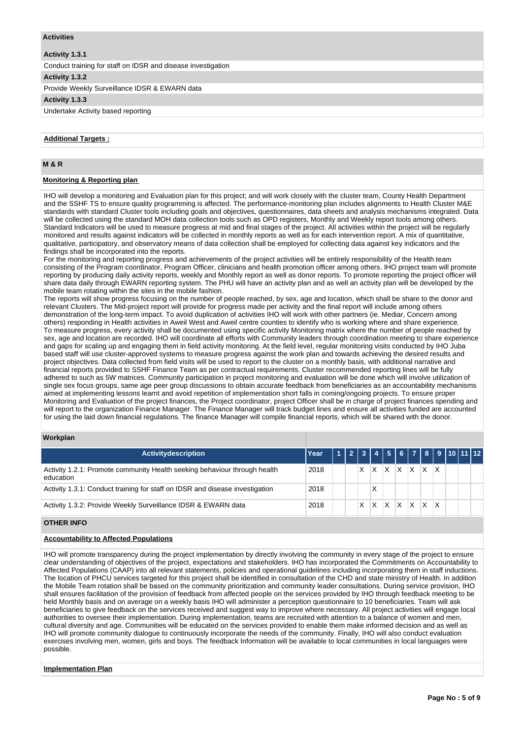## **Activities**

# **Activity 1.3.1**

Conduct training for staff on IDSR and disease investigation

**Activity 1.3.2** 

Provide Weekly Surveillance IDSR & EWARN data

## **Activity 1.3.3**

Undertake Activity based reporting

## **Additional Targets :**

# **M & R**

# **Monitoring & Reporting plan**

IHO will develop a monitoring and Evaluation plan for this project; and will work closely with the cluster team, County Health Department and the SSHF TS to ensure quality programming is affected. The performance-monitoring plan includes alignments to Health Cluster M&E standards with standard Cluster tools including goals and objectives, questionnaires, data sheets and analysis mechanisms integrated. Data will be collected using the standard MOH data collection tools such as OPD registers, Monthly and Weekly report tools among others. Standard Indicators will be used to measure progress at mid and final stages of the project. All activities within the project will be regularly monitored and results against indicators will be collected in monthly reports as well as for each intervention report. A mix of quantitative, qualitative, participatory, and observatory means of data collection shall be employed for collecting data against key indicators and the findings shall be incorporated into the reports.

For the monitoring and reporting progress and achievements of the project activities will be entirely responsibility of the Health team consisting of the Program coordinator, Program Officer, clinicians and health promotion officer among others. IHO project team will promote reporting by producing daily activity reports, weekly and Monthly report as well as donor reports. To promote reporting the project officer will share data daily through EWARN reporting system. The PHU will have an activity plan and as well an activity plan will be developed by the mobile team rotating within the sites in the mobile fashion.

The reports will show progress focusing on the number of people reached, by sex, age and location, which shall be share to the donor and relevant Clusters. The Mid-project report will provide for progress made per activity and the final report will include among others demonstration of the long-term impact. To avoid duplication of activities IHO will work with other partners (ie. Mediar, Concern among others) responding in Health activities in Aweil West and Aweil centre counties to identify who is working where and share experience. To measure progress, every activity shall be documented using specific activity Monitoring matrix where the number of people reached by sex, age and location are recorded. IHO will coordinate all efforts with Community leaders through coordination meeting to share experience and gaps for scaling up and engaging them in field activity monitoring. At the field level, regular monitoring visits conducted by IHO Juba based staff will use cluster-approved systems to measure progress against the work plan and towards achieving the desired results and project objectives. Data collected from field visits will be used to report to the cluster on a monthly basis, with additional narrative and financial reports provided to SSHF Finance Team as per contractual requirements. Cluster recommended reporting lines will be fully adhered to such as 5W matrices. Community participation in project monitoring and evaluation will be done which will involve utilization of single sex focus groups, same age peer group discussions to obtain accurate feedback from beneficiaries as an accountability mechanisms aimed at implementing lessons learnt and avoid repetition of implementation short falls in coming/ongoing projects. To ensure proper Monitoring and Evaluation of the project finances, the Project coordinator, project Officer shall be in charge of project finances spending and will report to the organization Finance Manager. The Finance Manager will track budget lines and ensure all activities funded are accounted for using the laid down financial regulations. The finance Manager will compile financial reports, which will be shared with the donor.

## **Workplan**

| <b>Activitydescription</b>                                                             | Year |  |   |   |   |   |   |         | 23456789101112 |  |  |
|----------------------------------------------------------------------------------------|------|--|---|---|---|---|---|---------|----------------|--|--|
| Activity 1.2.1: Promote community Health seeking behaviour through health<br>education | 2018 |  |   | х | х | Χ | х | X.      |                |  |  |
| Activity 1.3.1: Conduct training for staff on IDSR and disease investigation           | 2018 |  |   | Χ |   |   |   |         |                |  |  |
| Activity 1.3.2: Provide Weekly Surveillance IDSR & EWARN data                          | 2018 |  | X | X | x | Χ | X | $X$ $X$ |                |  |  |

# **OTHER INFO**

# **Accountability to Affected Populations**

IHO will promote transparency during the project implementation by directly involving the community in every stage of the project to ensure clear understanding of objectives of the project, expectations and stakeholders. IHO has incorporated the Commitments on Accountability to Affected Populations (CAAP) into all relevant statements, policies and operational guidelines including incorporating them in staff inductions. The location of PHCU services targeted for this project shall be identified in consultation of the CHD and state ministry of Health. In addition the Mobile Team rotation shall be based on the community prioritization and community leader consultations. During service provision, IHO shall ensures facilitation of the provision of feedback from affected people on the services provided by IHO through feedback meeting to be held Monthly basis and on average on a weekly basis IHO will administer a perception questionnaire to 10 beneficiaries. Team will ask beneficiaries to give feedback on the services received and suggest way to improve where necessary. All project activities will engage local authorities to oversee their implementation. During implementation, teams are recruited with attention to a balance of women and men, cultural diversity and age. Communities will be educated on the services provided to enable them make informed decision and as well as IHO will promote community dialogue to continuously incorporate the needs of the community. Finally, IHO will also conduct evaluation exercises involving men, women, girls and boys. The feedback Information will be available to local communities in local languages were possible.

#### **Implementation Plan**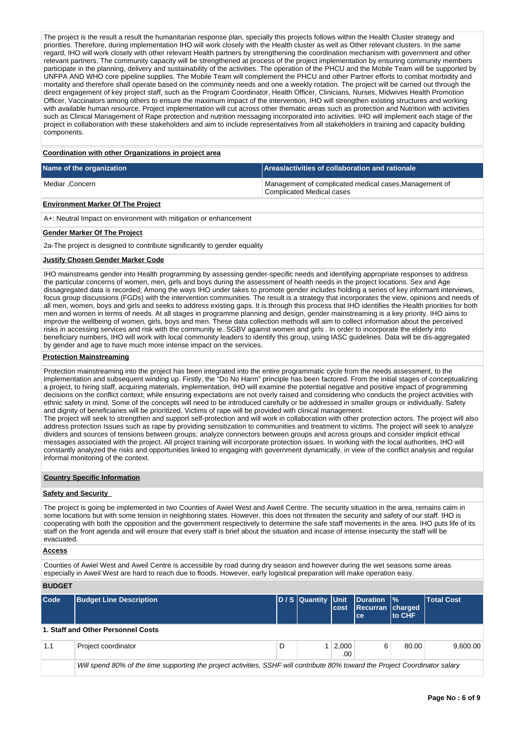The project is the result a result the humanitarian response plan, specially this projects follows within the Health Cluster strategy and priorities. Therefore, during implementation IHO will work closely with the Health cluster as well as Other relevant clusters. In the same regard, IHO will work closely with other relevant Health partners by strengthening the coordination mechanism with government and other relevant partners. The community capacity will be strengthened at process of the project implementation by ensuring community members participate in the planning, delivery and sustainability of the activities. The operation of the PHCU and the Mobile Team will be supported by UNFPA AND WHO core pipeline supplies. The Mobile Team will complement the PHCU and other Partner efforts to combat morbidity and mortality and therefore shall operate based on the community needs and one a weekly rotation. The project will be carried out through the direct engagement of key project staff, such as the Program Coordinator, Health Officer, Clinicians, Nurses, Midwives Health Promotion Officer, Vaccinators among others to ensure the maximum impact of the intervention, IHO will strengthen existing structures and working with available human resource. Project implementation will cut across other thematic areas such as protection and Nutrition with activities such as Clinical Management of Rape protection and nutrition messaging incorporated into activities. IHO will implement each stage of the project in collaboration with these stakeholders and aim to include representatives from all stakeholders in training and capacity building components.

#### **Coordination with other Organizations in project area**

| Name of the organization | Areas/activities of collaboration and rationale                                     |
|--------------------------|-------------------------------------------------------------------------------------|
| Mediar .Concern          | Management of complicated medical cases, Management of<br>Complicated Medical cases |

# **Environment Marker Of The Project**

A+: Neutral Impact on environment with mitigation or enhancement

## **Gender Marker Of The Project**

2a-The project is designed to contribute significantly to gender equality

#### **Justify Chosen Gender Marker Code**

IHO mainstreams gender into Health programming by assessing gender-specific needs and identifying appropriate responses to address the particular concerns of women, men, girls and boys during the assessment of health needs in the project locations. Sex and Age dissagregated data is recorded; Among the ways IHO under takes to promote gender includes holding a series of key informant interviews, focus group discussions (FGDs) with the intervention communities. The result is a strategy that incorporates the view, opinions and needs of all men, women, boys and girls and seeks to address existing gaps. It is through this process that IHO identifies the Health priorities for both men and women in terms of needs. At all stages in programme planning and design, gender mainstreaming is a key priority. IHO aims to improve the wellbeing of women, girls, boys and men. These data collection methods will aim to collect information about the perceived risks in accessing services and risk with the community ie. SGBV against women and girls . In order to incorporate the elderly into beneficiary numbers, IHO will work with local community leaders to identify this group, using IASC guidelines. Data will be dis-aggregated by gender and age to have much more intense impact on the services.

## **Protection Mainstreaming**

Protection mainstreaming into the project has been integrated into the entire programmatic cycle from the needs assessment, to the implementation and subsequent winding up. Firstly, the "Do No Harm" principle has been factored. From the initial stages of conceptualizing a project, to hiring staff, acquiring materials, implementation, IHO will examine the potential negative and positive impact of programming decisions on the conflict context; while ensuring expectations are not overly raised and considering who conducts the project activities with ethnic safety in mind. Some of the concepts will need to be introduced carefully or be addressed in smaller groups or individually. Safety and dignity of beneficiaries will be prioritized. Victims of rape will be provided with clinical management.

The project will seek to strengthen and support self-protection and will work in collaboration with other protection actors. The project will also address protection Issues such as rape by providing sensitization to communities and treatment to victims. The project will seek to analyze dividers and sources of tensions between groups; analyze connectors between groups and across groups and consider implicit ethical messages associated with the project. All project training will incorporate protection issues. In working with the local authorities, IHO will constantly analyzed the risks and opportunities linked to engaging with government dynamically, in view of the conflict analysis and regular informal monitoring of the context.

## **Country Specific Information**

# **Safety and Security**

The project is going be implemented in two Counties of Awiel West and Aweil Centre. The security situation in the area, remains calm in some locations but with some tension in neighboring states. However, this does not threaten the security and safety of our staff. IHO is cooperating with both the opposition and the government respectively to determine the safe staff movements in the area. IHO puts life of its staff on the front agenda and will ensure that every staff is brief about the situation and incase of intense insecurity the staff will be evacuated.

#### **Access**

Counties of Awiel West and Aweil Centre is accessible by road during dry season and however during the wet seasons some areas especially in Aweil West are hard to reach due to floods. However, early logistical preparation will make operation easy.

## **BUDGET**

| $\mathsf{Code}$ | <b>Budget Line Description</b>                                                                                               |   | D / S Quantity Unit | cost                       | Duration  %<br>Recurran charged<br>lce. | to CHF | Total Cost |  |  |  |  |
|-----------------|------------------------------------------------------------------------------------------------------------------------------|---|---------------------|----------------------------|-----------------------------------------|--------|------------|--|--|--|--|
|                 | 1. Staff and Other Personnel Costs                                                                                           |   |                     |                            |                                         |        |            |  |  |  |  |
| 1.1             | Project coordinator                                                                                                          | D |                     | $1 \mid 2,000 \mid$<br>.00 | 6                                       | 80.00  | 9.600.00   |  |  |  |  |
|                 | Will spend 80% of the time supporting the project activities, SSHF will contribute 80% toward the Project Coordinator salary |   |                     |                            |                                         |        |            |  |  |  |  |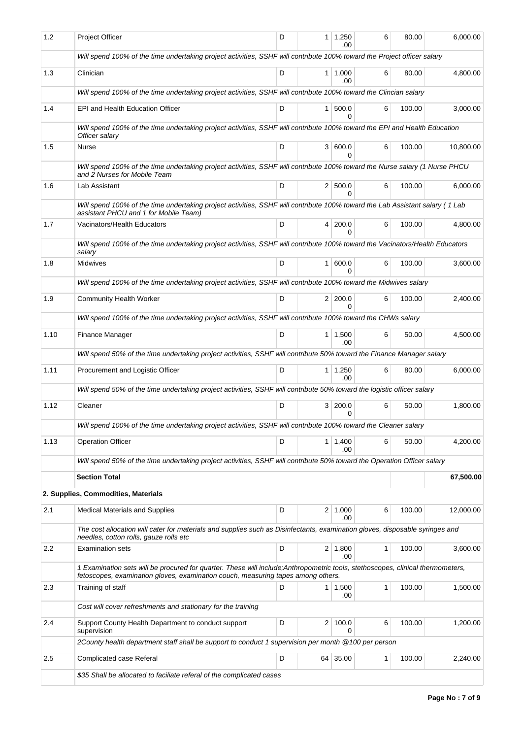| 1.2  | <b>Project Officer</b>                                                                                                                                                                                              | D | 1              | 1,250<br>.00           | 6            | 80.00  | 6.000.00  |
|------|---------------------------------------------------------------------------------------------------------------------------------------------------------------------------------------------------------------------|---|----------------|------------------------|--------------|--------|-----------|
|      | Will spend 100% of the time undertaking project activities, SSHF will contribute 100% toward the Project officer salary                                                                                             |   |                |                        |              |        |           |
| 1.3  | Clinician                                                                                                                                                                                                           | D |                | 1 1,000<br>.00         | 6            | 80.00  | 4,800.00  |
|      | Will spend 100% of the time undertaking project activities, SSHF will contribute 100% toward the Clincian salary                                                                                                    |   |                |                        |              |        |           |
| 1.4  | EPI and Health Education Officer                                                                                                                                                                                    | D | 1 <sup>1</sup> | 500.0<br>0             | 6            | 100.00 | 3,000.00  |
|      | Will spend 100% of the time undertaking project activities, SSHF will contribute 100% toward the EPI and Health Education<br>Officer salary                                                                         |   |                |                        |              |        |           |
| 1.5  | Nurse                                                                                                                                                                                                               | D |                | 3   600.0<br>0         | 6            | 100.00 | 10,800.00 |
|      | Will spend 100% of the time undertaking project activities, SSHF will contribute 100% toward the Nurse salary (1 Nurse PHCU<br>and 2 Nurses for Mobile Team                                                         |   |                |                        |              |        |           |
| 1.6  | Lab Assistant                                                                                                                                                                                                       | D | 2 <sup>1</sup> | 500.0<br><sup>0</sup>  | 6            | 100.00 | 6,000.00  |
|      | Will spend 100% of the time undertaking project activities, SSHF will contribute 100% toward the Lab Assistant salary (1 Lab<br>assistant PHCU and 1 for Mobile Team)                                               |   |                |                        |              |        |           |
| 1.7  | Vacinators/Health Educators                                                                                                                                                                                         | D | 4              | 200.0<br>$\Omega$      | 6            | 100.00 | 4,800.00  |
|      | Will spend 100% of the time undertaking project activities, SSHF will contribute 100% toward the Vacinators/Health Educators<br>salary                                                                              |   |                |                        |              |        |           |
| 1.8  | Midwives                                                                                                                                                                                                            | D | 1 <sup>1</sup> | 600.0<br>$\Omega$      | 6            | 100.00 | 3,600.00  |
|      | Will spend 100% of the time undertaking project activities, SSHF will contribute 100% toward the Midwives salary                                                                                                    |   |                |                        |              |        |           |
| 1.9  | <b>Community Health Worker</b>                                                                                                                                                                                      | D |                | 2 200.0<br>$\Omega$    | 6            | 100.00 | 2,400.00  |
|      | Will spend 100% of the time undertaking project activities, SSHF will contribute 100% toward the CHWs salary                                                                                                        |   |                |                        |              |        |           |
| 1.10 | Finance Manager                                                                                                                                                                                                     | D |                | $1 \mid 1,500$<br>.00. | 6            | 50.00  | 4,500.00  |
|      | Will spend 50% of the time undertaking project activities, SSHF will contribute 50% toward the Finance Manager salary                                                                                               |   |                |                        |              |        |           |
| 1.11 | Procurement and Logistic Officer                                                                                                                                                                                    | D |                | $1 \mid 1,250$<br>.00  | 6            | 80.00  | 6,000.00  |
|      | Will spend 50% of the time undertaking project activities, SSHF will contribute 50% toward the logistic officer salary                                                                                              |   |                |                        |              |        |           |
| 1.12 | Cleaner                                                                                                                                                                                                             | D | 3 <sup>1</sup> | 200.0<br>0             | 6            | 50.00  | 1,800.00  |
|      | Will spend 100% of the time undertaking project activities, SSHF will contribute 100% toward the Cleaner salary                                                                                                     |   |                |                        |              |        |           |
| 1.13 | <b>Operation Officer</b>                                                                                                                                                                                            | D |                | $1 \mid 1,400$<br>.00  | 6            | 50.00  | 4,200.00  |
|      | Will spend 50% of the time undertaking project activities, SSHF will contribute 50% toward the Operation Officer salary                                                                                             |   |                |                        |              |        |           |
|      | <b>Section Total</b>                                                                                                                                                                                                |   |                |                        |              |        | 67,500.00 |
|      | 2. Supplies, Commodities, Materials                                                                                                                                                                                 |   |                |                        |              |        |           |
| 2.1  | <b>Medical Materials and Supplies</b>                                                                                                                                                                               | D |                | $2 \mid 1,000$<br>.00  | 6            | 100.00 | 12,000.00 |
|      | The cost allocation will cater for materials and supplies such as Disinfectants, examination gloves, disposable syringes and<br>needles, cotton rolls, gauze rolls etc                                              |   |                |                        |              |        |           |
| 2.2  | <b>Examination sets</b>                                                                                                                                                                                             | D |                | $2 \mid 1,800$<br>.00  | $\mathbf{1}$ | 100.00 | 3,600.00  |
|      | 1 Examination sets will be procured for quarter. These will include; Anthropometric tools, stethoscopes, clinical thermometers,<br>fetoscopes, examination gloves, examination couch, measuring tapes among others. |   |                |                        |              |        |           |
| 2.3  | Training of staff                                                                                                                                                                                                   | D |                | $1 \mid 1,500$<br>.00  | $\mathbf{1}$ | 100.00 | 1,500.00  |
|      | Cost will cover refreshments and stationary for the training                                                                                                                                                        |   |                |                        |              |        |           |
| 2.4  | Support County Health Department to conduct support<br>supervision                                                                                                                                                  | D | $\overline{2}$ | 100.0<br>0             | 6            | 100.00 | 1,200.00  |
|      | 2County health department staff shall be support to conduct 1 supervision per month @100 per person                                                                                                                 |   |                |                        |              |        |           |
| 2.5  | Complicated case Referal                                                                                                                                                                                            | D |                | 64 35.00               | 1            | 100.00 | 2,240.00  |
|      | \$35 Shall be allocated to faciliate referal of the complicated cases                                                                                                                                               |   |                |                        |              |        |           |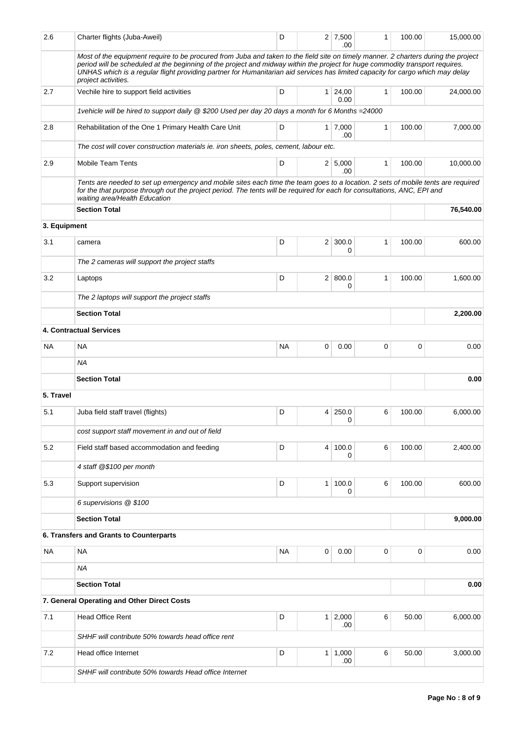| 2.6          | Charter flights (Juba-Aweil)                                                                                                                                                                                                                                                                                                                                                                                                 | D         |                | $2 \mid 7,500$<br>.00  | 1            | 100.00   | 15,000.00 |
|--------------|------------------------------------------------------------------------------------------------------------------------------------------------------------------------------------------------------------------------------------------------------------------------------------------------------------------------------------------------------------------------------------------------------------------------------|-----------|----------------|------------------------|--------------|----------|-----------|
|              | Most of the equipment require to be procured from Juba and taken to the field site on timely manner. 2 charters during the project<br>period will be scheduled at the beginning of the project and midway within the project for huge commodity transport requires.<br>UNHAS which is a regular flight providing partner for Humanitarian aid services has limited capacity for cargo which may delay<br>project activities. |           |                |                        |              |          |           |
| 2.7          | Vechile hire to support field activities                                                                                                                                                                                                                                                                                                                                                                                     | D         |                | $1 \mid 24,00$<br>0.00 | $\mathbf{1}$ | 100.00   | 24,000.00 |
|              | 1 vehicle will be hired to support daily @ \$200 Used per day 20 days a month for 6 Months = 24000                                                                                                                                                                                                                                                                                                                           |           |                |                        |              |          |           |
| 2.8          | Rehabilitation of the One 1 Primary Health Care Unit                                                                                                                                                                                                                                                                                                                                                                         | D         |                | $1 \mid 7,000$<br>.00  | $\mathbf{1}$ | 100.00   | 7,000.00  |
|              | The cost will cover construction materials ie. iron sheets, poles, cement, labour etc.                                                                                                                                                                                                                                                                                                                                       |           |                |                        |              |          |           |
| 2.9          | <b>Mobile Team Tents</b>                                                                                                                                                                                                                                                                                                                                                                                                     | D         |                | 2   5,000<br>.00       | 1            | 100.00   | 10,000.00 |
|              | Tents are needed to set up emergency and mobile sites each time the team goes to a location. 2 sets of mobile tents are required<br>for the that purpose through out the project period. The tents will be required for each for consultations, ANC, EPI and<br>waiting area/Health Education                                                                                                                                |           |                |                        |              |          |           |
|              | <b>Section Total</b>                                                                                                                                                                                                                                                                                                                                                                                                         |           |                |                        |              |          | 76,540.00 |
| 3. Equipment |                                                                                                                                                                                                                                                                                                                                                                                                                              |           |                |                        |              |          |           |
| 3.1          | camera                                                                                                                                                                                                                                                                                                                                                                                                                       | D         |                | $2 \mid 300.0$         | 1            | 100.00   | 600.00    |
|              |                                                                                                                                                                                                                                                                                                                                                                                                                              |           |                | 0                      |              |          |           |
|              | The 2 cameras will support the project staffs                                                                                                                                                                                                                                                                                                                                                                                |           |                |                        |              |          |           |
| 3.2          | Laptops                                                                                                                                                                                                                                                                                                                                                                                                                      |           | 2   800.0<br>0 | 1                      | 100.00       | 1,600.00 |           |
|              | The 2 laptops will support the project staffs                                                                                                                                                                                                                                                                                                                                                                                |           |                |                        |              |          |           |
|              | <b>Section Total</b>                                                                                                                                                                                                                                                                                                                                                                                                         |           |                |                        |              |          | 2,200.00  |
|              | <b>4. Contractual Services</b>                                                                                                                                                                                                                                                                                                                                                                                               |           |                |                        |              |          |           |
| NA           | NA                                                                                                                                                                                                                                                                                                                                                                                                                           | <b>NA</b> | 0              | 0.00                   | 0            | 0        | 0.00      |
|              | ΝA                                                                                                                                                                                                                                                                                                                                                                                                                           |           |                |                        |              |          |           |
|              | <b>Section Total</b>                                                                                                                                                                                                                                                                                                                                                                                                         |           |                |                        |              |          | 0.00      |
| 5. Travel    |                                                                                                                                                                                                                                                                                                                                                                                                                              |           |                |                        |              |          |           |
| 5.1          | Juba field staff travel (flights)                                                                                                                                                                                                                                                                                                                                                                                            | D         | 4              | 250.0                  | 6            | 100.00   | 6,000.00  |
|              |                                                                                                                                                                                                                                                                                                                                                                                                                              |           |                | 0                      |              |          |           |
|              | cost support staff movement in and out of field                                                                                                                                                                                                                                                                                                                                                                              |           |                |                        |              |          |           |
| 5.2          | Field staff based accommodation and feeding                                                                                                                                                                                                                                                                                                                                                                                  | D         | 4              | 100.0<br>0             | 6            | 100.00   | 2,400.00  |
|              | 4 staff @\$100 per month                                                                                                                                                                                                                                                                                                                                                                                                     |           |                |                        |              |          |           |
| 5.3          | Support supervision                                                                                                                                                                                                                                                                                                                                                                                                          | D         | 1 <sup>1</sup> | 100.0<br>0             | 6            | 100.00   | 600.00    |
|              | 6 supervisions @ \$100                                                                                                                                                                                                                                                                                                                                                                                                       |           |                |                        |              |          |           |
|              | <b>Section Total</b>                                                                                                                                                                                                                                                                                                                                                                                                         |           |                |                        |              |          | 9,000.00  |
|              | 6. Transfers and Grants to Counterparts                                                                                                                                                                                                                                                                                                                                                                                      |           |                |                        |              |          |           |
| <b>NA</b>    | <b>NA</b>                                                                                                                                                                                                                                                                                                                                                                                                                    | <b>NA</b> | 0              | 0.00                   | 0            | 0        | 0.00      |
|              | <b>NA</b>                                                                                                                                                                                                                                                                                                                                                                                                                    |           |                |                        |              |          |           |
|              | <b>Section Total</b>                                                                                                                                                                                                                                                                                                                                                                                                         |           |                |                        |              |          | 0.00      |
|              | 7. General Operating and Other Direct Costs                                                                                                                                                                                                                                                                                                                                                                                  |           |                |                        |              |          |           |
| 7.1          | <b>Head Office Rent</b>                                                                                                                                                                                                                                                                                                                                                                                                      | D         |                | $1 \mid 2,000$<br>.00  | 6            | 50.00    | 6,000.00  |
|              | SHHF will contribute 50% towards head office rent                                                                                                                                                                                                                                                                                                                                                                            |           |                |                        |              |          |           |
| 7.2          | Head office Internet                                                                                                                                                                                                                                                                                                                                                                                                         | D         |                | $1 \mid 1,000$<br>.00  | 6            | 50.00    | 3,000.00  |
|              | SHHF will contribute 50% towards Head office Internet                                                                                                                                                                                                                                                                                                                                                                        |           |                |                        |              |          |           |